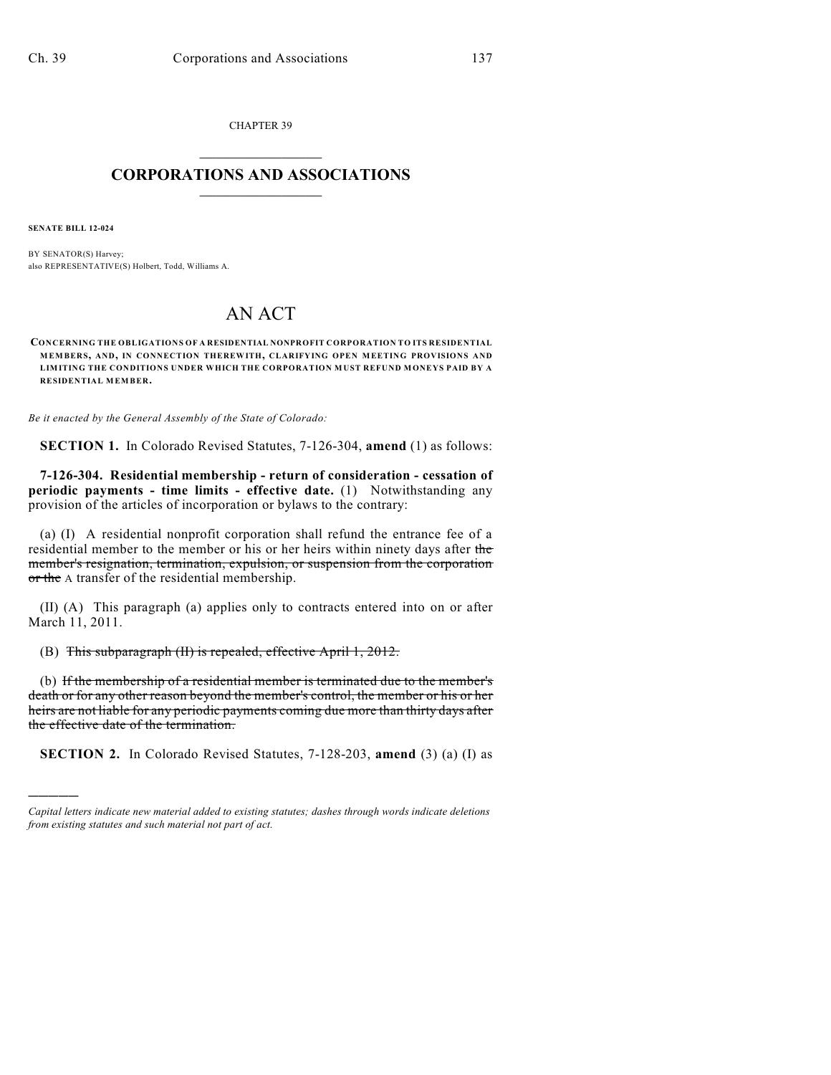CHAPTER 39  $\overline{\phantom{a}}$  . The set of the set of the set of the set of the set of the set of the set of the set of the set of the set of the set of the set of the set of the set of the set of the set of the set of the set of the set o

## **CORPORATIONS AND ASSOCIATIONS**  $\_$   $\_$   $\_$   $\_$   $\_$   $\_$   $\_$   $\_$   $\_$

**SENATE BILL 12-024**

)))))

BY SENATOR(S) Harvey; also REPRESENTATIVE(S) Holbert, Todd, Williams A.

## AN ACT

**CONCERNING THE OBLIGATIONS OF A RESIDENTIAL NONPROFIT CORPORATION TO ITS RESIDENTIAL MEMBERS, AND, IN CONNECTION THEREWITH, CLARIFYING OPEN MEETING PROVISIONS AND LIMITING THE CONDITIONS UNDER WHICH THE CORPORATION MUST REFUND MONEYS PAID BY A RESIDENTIAL MEMBER.**

*Be it enacted by the General Assembly of the State of Colorado:*

**SECTION 1.** In Colorado Revised Statutes, 7-126-304, **amend** (1) as follows:

**7-126-304. Residential membership - return of consideration - cessation of periodic payments - time limits - effective date.** (1) Notwithstanding any provision of the articles of incorporation or bylaws to the contrary:

(a) (I) A residential nonprofit corporation shall refund the entrance fee of a residential member to the member or his or her heirs within ninety days after the member's resignation, termination, expulsion, or suspension from the corporation or the A transfer of the residential membership.

(II) (A) This paragraph (a) applies only to contracts entered into on or after March 11, 2011.

(B) This subparagraph (II) is repealed, effective April 1, 2012.

(b) If the membership of a residential member is terminated due to the member's death or for any other reason beyond the member's control, the member or his or her heirs are not liable for any periodic payments coming due more than thirty days after the effective date of the termination.

**SECTION 2.** In Colorado Revised Statutes, 7-128-203, **amend** (3) (a) (I) as

*Capital letters indicate new material added to existing statutes; dashes through words indicate deletions from existing statutes and such material not part of act.*